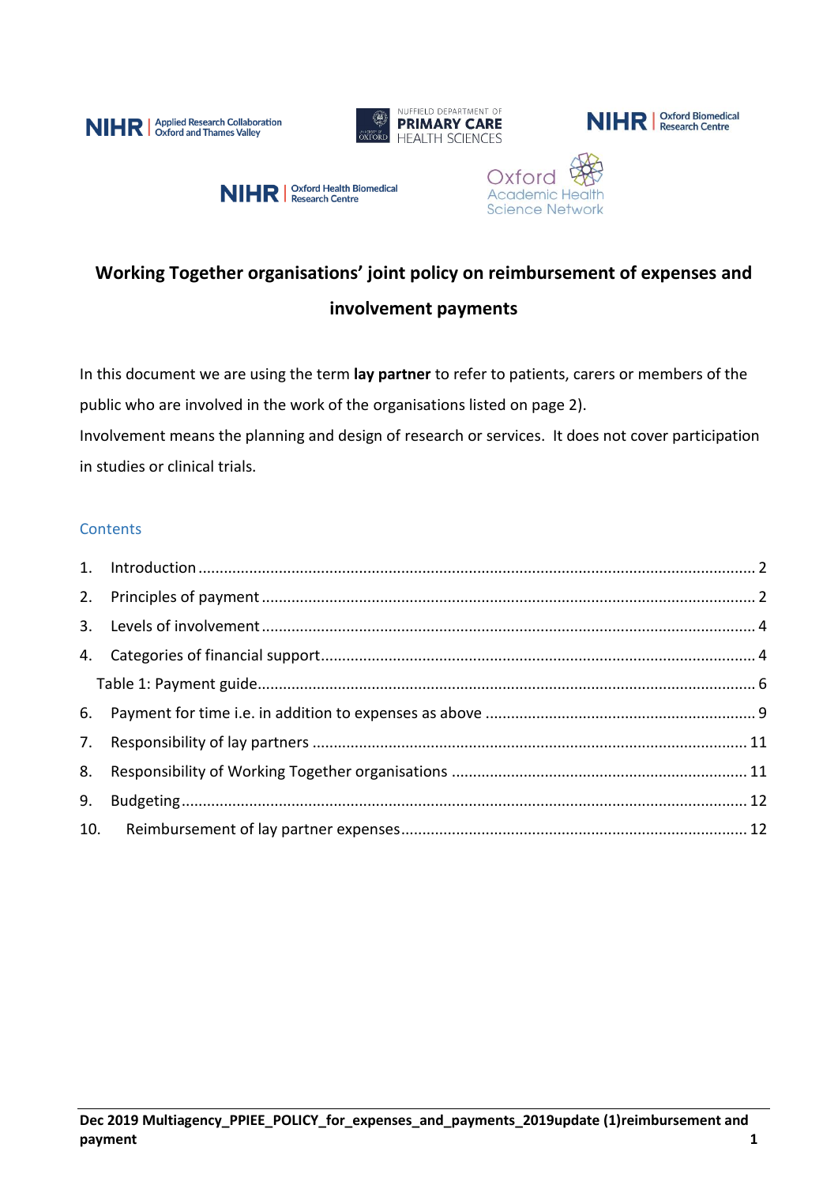









# **Working Together organisations' joint policy on reimbursement of expenses and involvement payments**

In this document we are using the term **lay partner** to refer to patients, carers or members of the public who are involved in the work of the organisations listed on page 2). Involvement means the planning and design of research or services. It does not cover participation in studies or clinical trials.

## **Contents**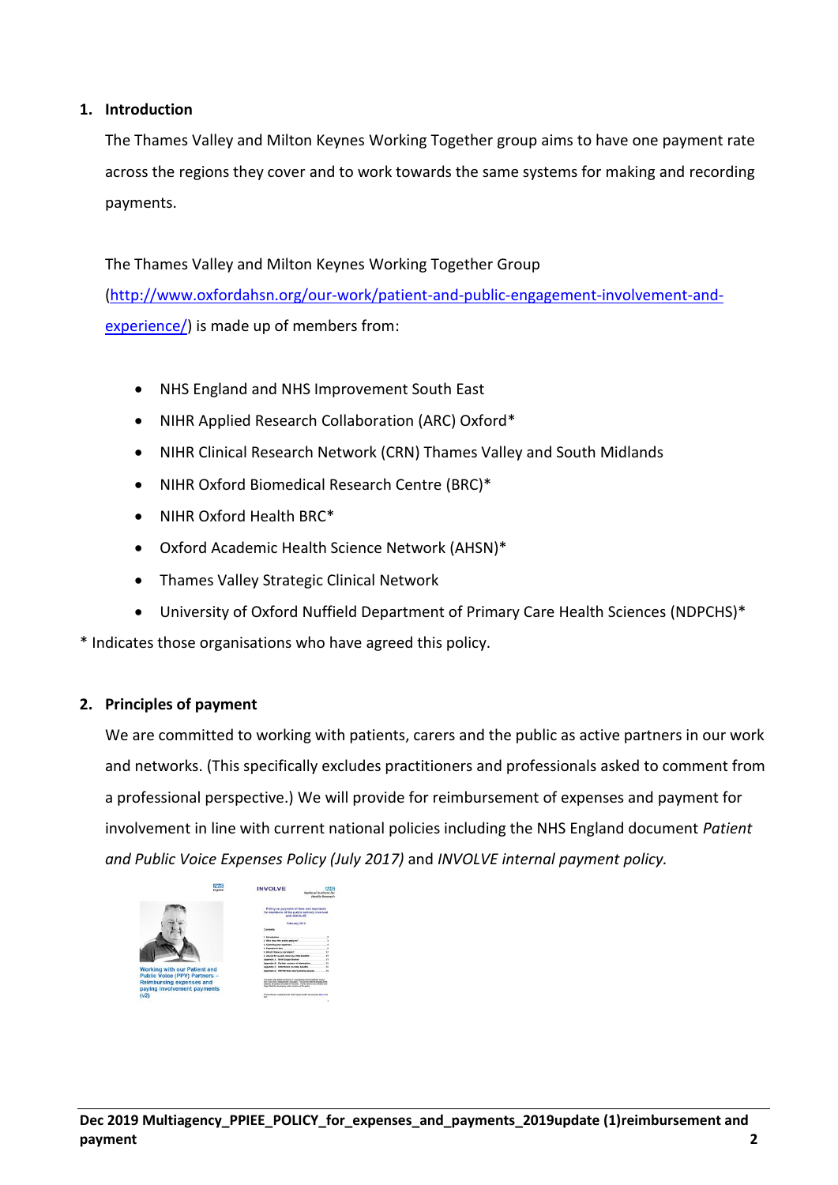## <span id="page-1-0"></span>**1. Introduction**

The Thames Valley and Milton Keynes Working Together group aims to have one payment rate across the regions they cover and to work towards the same systems for making and recording payments.

The Thames Valley and Milton Keynes Working Together Group [\(http://www.oxfordahsn.org/our-work/patient-and-public-engagement-involvement-and](http://www.oxfordahsn.org/our-work/patient-and-public-engagement-involvement-and-experience/)[experience/\)](http://www.oxfordahsn.org/our-work/patient-and-public-engagement-involvement-and-experience/) is made up of members from:

- NHS England and NHS Improvement South East
- NIHR Applied Research Collaboration (ARC) Oxford\*
- NIHR Clinical Research Network (CRN) Thames Valley and South Midlands
- NIHR Oxford Biomedical Research Centre (BRC)\*
- NIHR Oxford Health BRC\*
- Oxford Academic Health Science Network (AHSN)\*
- Thames Valley Strategic Clinical Network
- University of Oxford Nuffield Department of Primary Care Health Sciences (NDPCHS)\*

\* Indicates those organisations who have agreed this policy.

#### <span id="page-1-1"></span>**2. Principles of payment**

We are committed to working with patients, carers and the public as active partners in our work and networks. (This specifically excludes practitioners and professionals asked to comment from a professional perspective.) We will provide for reimbursement of expenses and payment for involvement in line with current national policies including the NHS England document *Patient and Public Voice Expenses Policy (July 2017)* and *INVOLVE internal payment policy.*

| <b>NHS</b><br>Freitand                                                                                 | <b>INVOLVE</b>                                                                                                                                                                                                                                                                                                                                                                                    | <b>Matinesal Institute for</b> | <b>Blanch Darasson</b> |
|--------------------------------------------------------------------------------------------------------|---------------------------------------------------------------------------------------------------------------------------------------------------------------------------------------------------------------------------------------------------------------------------------------------------------------------------------------------------------------------------------------------------|--------------------------------|------------------------|
|                                                                                                        | Policy on payment of fees and expenses.<br>for members of the public actively involved<br>with BOICE VE                                                                                                                                                                                                                                                                                           |                                |                        |
|                                                                                                        | February 2016                                                                                                                                                                                                                                                                                                                                                                                     |                                |                        |
|                                                                                                        | <b>CARTAGE</b>                                                                                                                                                                                                                                                                                                                                                                                    |                                |                        |
|                                                                                                        | <b>Listendonia</b>                                                                                                                                                                                                                                                                                                                                                                                |                                |                        |
|                                                                                                        | 1. Who does this policy apply to?                                                                                                                                                                                                                                                                                                                                                                 |                                |                        |
|                                                                                                        | 5. Covering your expenses                                                                                                                                                                                                                                                                                                                                                                         |                                |                        |
|                                                                                                        | 4. Paintered of Sain                                                                                                                                                                                                                                                                                                                                                                              |                                |                        |
|                                                                                                        | 6. What if there is a problem?                                                                                                                                                                                                                                                                                                                                                                    |                                |                        |
|                                                                                                        | 6. Advice for people receiving state benefits.                                                                                                                                                                                                                                                                                                                                                    |                                |                        |
|                                                                                                        | Assembly & Brief January Busine"                                                                                                                                                                                                                                                                                                                                                                  |                                | ××                     |
|                                                                                                        | Angerste B .: Forther seames of information.                                                                                                                                                                                                                                                                                                                                                      |                                |                        |
| <b>Working with our Patient and</b>                                                                    | Angelette C: Interested on state benefits                                                                                                                                                                                                                                                                                                                                                         |                                |                        |
|                                                                                                        | Angeledig D. 14th Revenue and Customs cessors                                                                                                                                                                                                                                                                                                                                                     |                                |                        |
| <b>Public Voice (PPV) Partners -</b><br><b>Reimbursing expenses and</b><br>paying involvement payments | This politic man written for BACK IT Committeding Centre staff with achieve<br>from Justy Großt instagramment Computisors This complete subscriptionary 2016.<br>racta an ad privation complete refers author. Though also finitely detected also<br>Today, Final for cleveland to partier animated of this politic<br>"Tenn that are expressive the first cargon Guiter" are concentrates in the |                                |                        |
| (v <sub>2</sub> )                                                                                      | MA the first the company of the company of the                                                                                                                                                                                                                                                                                                                                                    |                                |                        |
|                                                                                                        |                                                                                                                                                                                                                                                                                                                                                                                                   |                                |                        |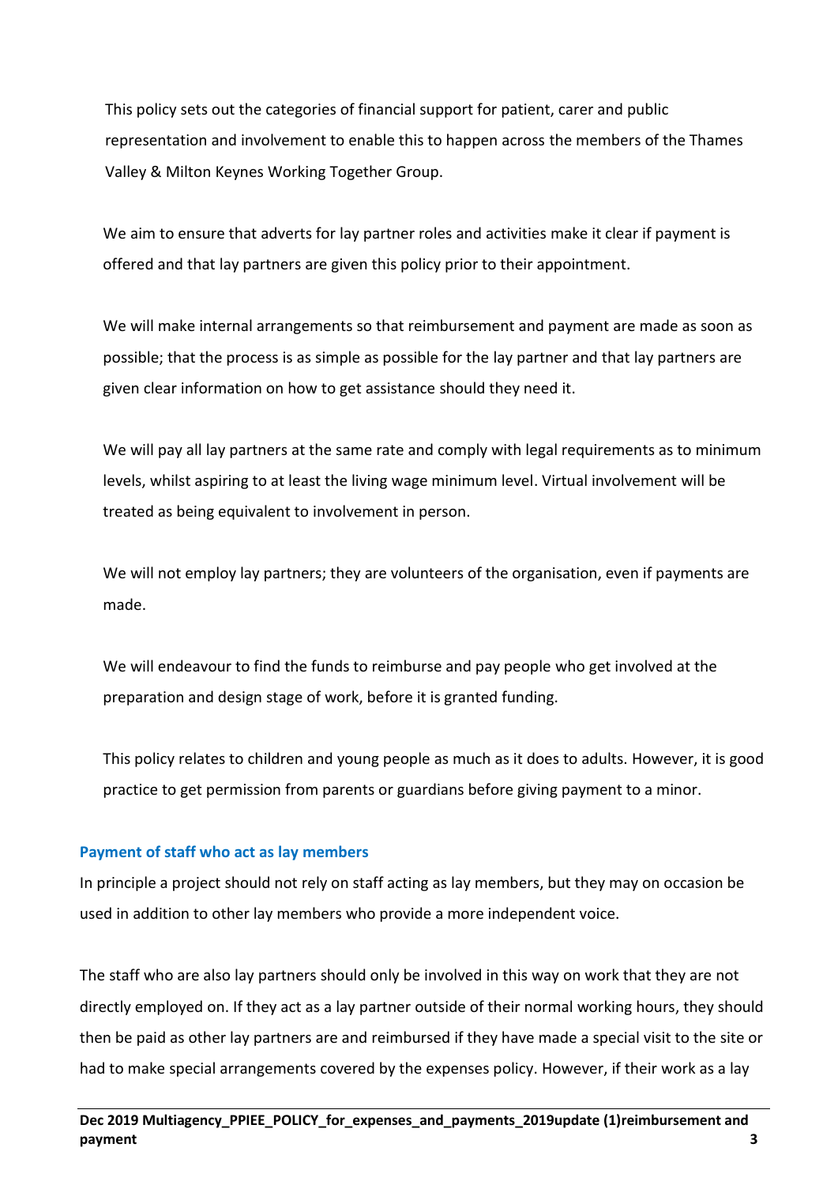This policy sets out the categories of financial support for patient, carer and public representation and involvement to enable this to happen across the members of the Thames Valley & Milton Keynes Working Together Group.

We aim to ensure that adverts for lay partner roles and activities make it clear if payment is offered and that lay partners are given this policy prior to their appointment.

We will make internal arrangements so that reimbursement and payment are made as soon as possible; that the process is as simple as possible for the lay partner and that lay partners are given clear information on how to get assistance should they need it.

We will pay all lay partners at the same rate and comply with legal requirements as to minimum levels, whilst aspiring to at least the living wage minimum level. Virtual involvement will be treated as being equivalent to involvement in person.

We will not employ lay partners; they are volunteers of the organisation, even if payments are made.

We will endeavour to find the funds to reimburse and pay people who get involved at the preparation and design stage of work, before it is granted funding.

This policy relates to children and young people as much as it does to adults. However, it is good practice to get permission from parents or guardians before giving payment to a minor.

## **Payment of staff who act as lay members**

In principle a project should not rely on staff acting as lay members, but they may on occasion be used in addition to other lay members who provide a more independent voice.

The staff who are also lay partners should only be involved in this way on work that they are not directly employed on. If they act as a lay partner outside of their normal working hours, they should then be paid as other lay partners are and reimbursed if they have made a special visit to the site or had to make special arrangements covered by the expenses policy. However, if their work as a lay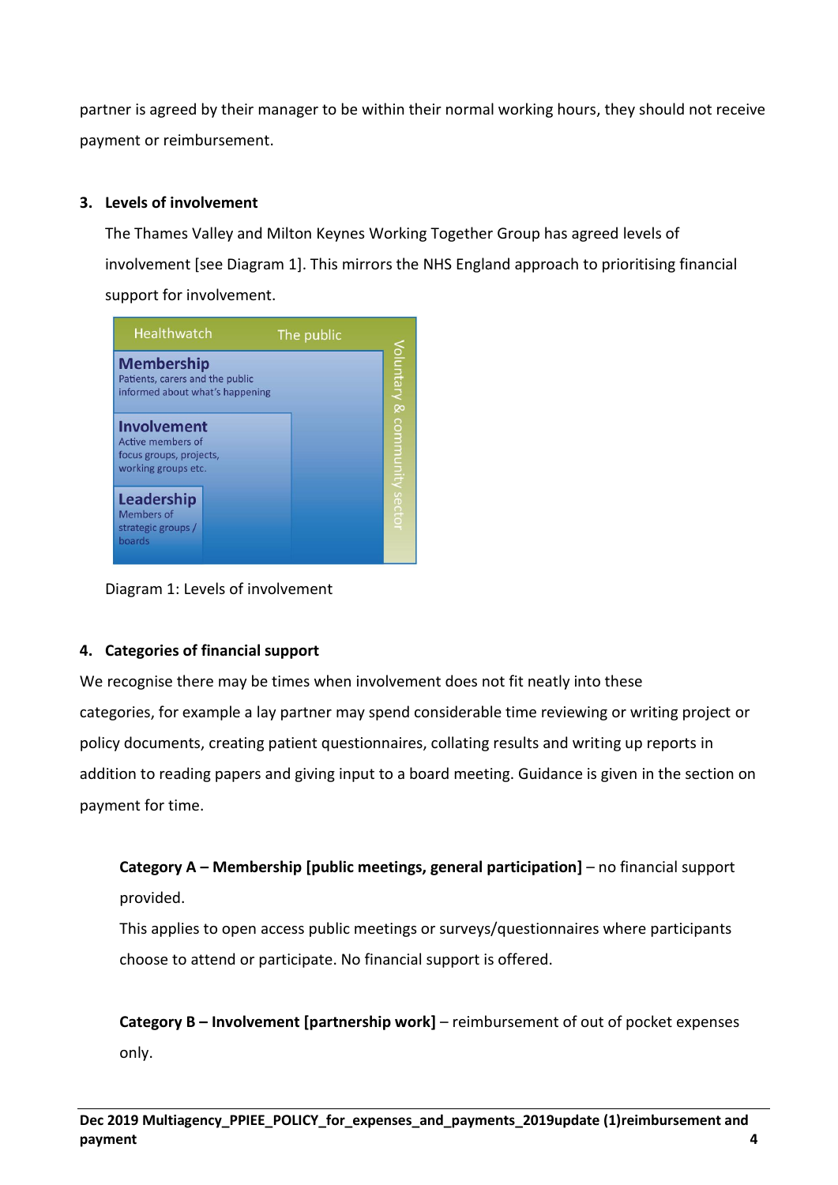partner is agreed by their manager to be within their normal working hours, they should not receive payment or reimbursement.

## <span id="page-3-0"></span>**3. Levels of involvement**

The Thames Valley and Milton Keynes Working Together Group has agreed levels of involvement [see Diagram 1]. This mirrors the NHS England approach to prioritising financial support for involvement.



Diagram 1: Levels of involvement

## <span id="page-3-1"></span>**4. Categories of financial support**

We recognise there may be times when involvement does not fit neatly into these categories, for example a lay partner may spend considerable time reviewing or writing project or policy documents, creating patient questionnaires, collating results and writing up reports in addition to reading papers and giving input to a board meeting. Guidance is given in the section on payment for time.

## **Category A – Membership [public meetings, general participation]** – no financial support provided.

This applies to open access public meetings or surveys/questionnaires where participants choose to attend or participate. No financial support is offered.

**Category B – Involvement [partnership work]** – reimbursement of out of pocket expenses only.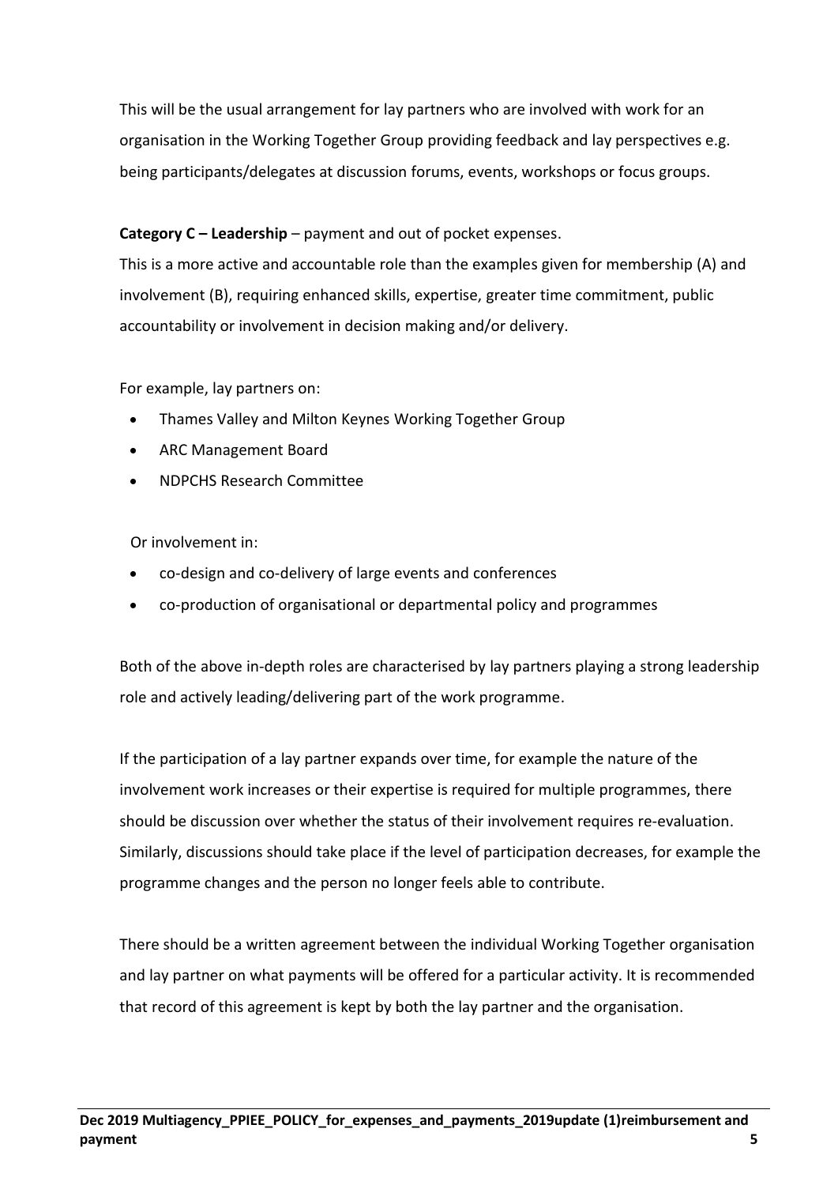This will be the usual arrangement for lay partners who are involved with work for an organisation in the Working Together Group providing feedback and lay perspectives e.g. being participants/delegates at discussion forums, events, workshops or focus groups.

## **Category C – Leadership** – payment and out of pocket expenses.

This is a more active and accountable role than the examples given for membership (A) and involvement (B), requiring enhanced skills, expertise, greater time commitment, public accountability or involvement in decision making and/or delivery.

For example, lay partners on:

- Thames Valley and Milton Keynes Working Together Group
- ARC Management Board
- NDPCHS Research Committee

Or involvement in:

- co-design and co-delivery of large events and conferences
- co-production of organisational or departmental policy and programmes

Both of the above in-depth roles are characterised by lay partners playing a strong leadership role and actively leading/delivering part of the work programme.

If the participation of a lay partner expands over time, for example the nature of the involvement work increases or their expertise is required for multiple programmes, there should be discussion over whether the status of their involvement requires re-evaluation. Similarly, discussions should take place if the level of participation decreases, for example the programme changes and the person no longer feels able to contribute.

There should be a written agreement between the individual Working Together organisation and lay partner on what payments will be offered for a particular activity. It is recommended that record of this agreement is kept by both the lay partner and the organisation.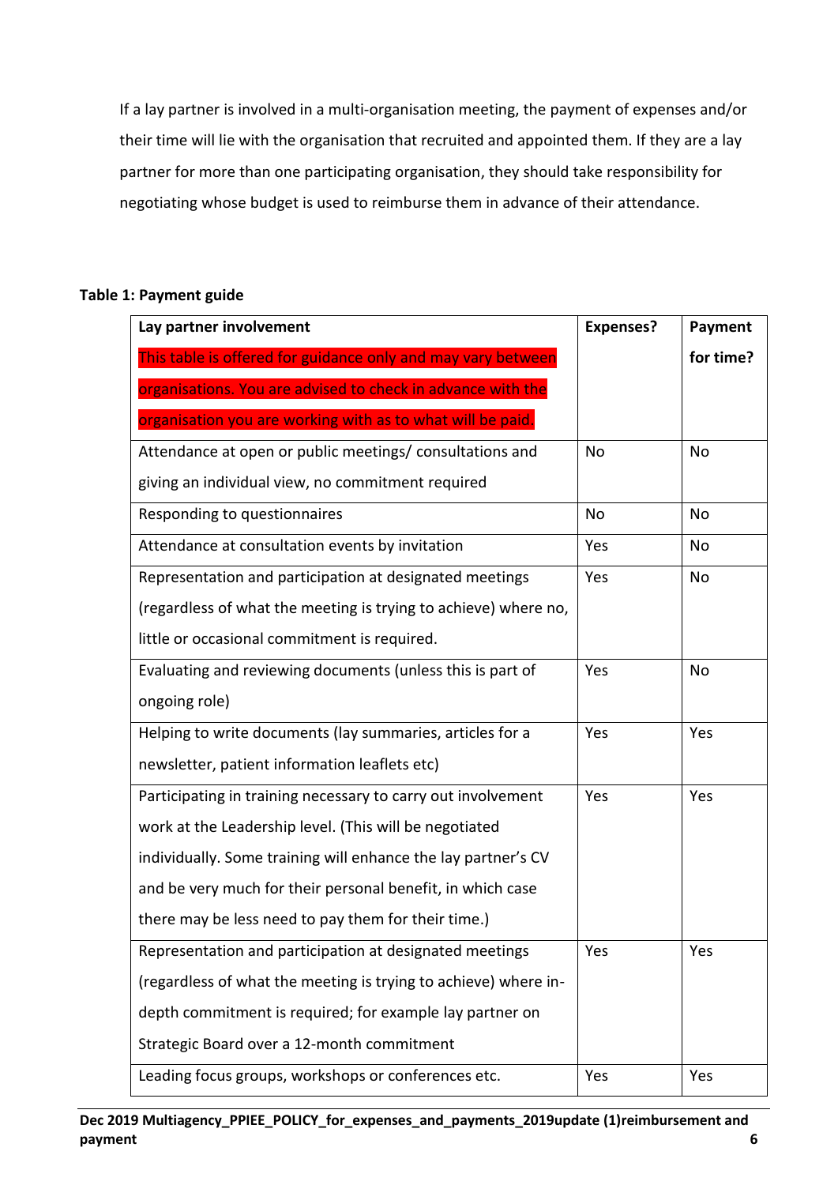If a lay partner is involved in a multi-organisation meeting, the payment of expenses and/or their time will lie with the organisation that recruited and appointed them. If they are a lay partner for more than one participating organisation, they should take responsibility for negotiating whose budget is used to reimburse them in advance of their attendance.

## <span id="page-5-0"></span>**Table 1: Payment guide**

| Lay partner involvement                                         | <b>Expenses?</b> | Payment   |
|-----------------------------------------------------------------|------------------|-----------|
| This table is offered for guidance only and may vary between    |                  | for time? |
| organisations. You are advised to check in advance with the     |                  |           |
| organisation you are working with as to what will be paid.      |                  |           |
| Attendance at open or public meetings/ consultations and        | No               | No        |
| giving an individual view, no commitment required               |                  |           |
| Responding to questionnaires                                    | No               | No        |
| Attendance at consultation events by invitation                 | Yes              | No        |
| Representation and participation at designated meetings         | Yes              | No        |
| (regardless of what the meeting is trying to achieve) where no, |                  |           |
| little or occasional commitment is required.                    |                  |           |
| Evaluating and reviewing documents (unless this is part of      | Yes              | No        |
| ongoing role)                                                   |                  |           |
| Helping to write documents (lay summaries, articles for a       | Yes              | Yes       |
| newsletter, patient information leaflets etc)                   |                  |           |
| Participating in training necessary to carry out involvement    | Yes              | Yes       |
| work at the Leadership level. (This will be negotiated          |                  |           |
| individually. Some training will enhance the lay partner's CV   |                  |           |
| and be very much for their personal benefit, in which case      |                  |           |
| there may be less need to pay them for their time.)             |                  |           |
| Representation and participation at designated meetings         | Yes              | Yes       |
| (regardless of what the meeting is trying to achieve) where in- |                  |           |
| depth commitment is required; for example lay partner on        |                  |           |
| Strategic Board over a 12-month commitment                      |                  |           |
| Leading focus groups, workshops or conferences etc.             | Yes              | Yes       |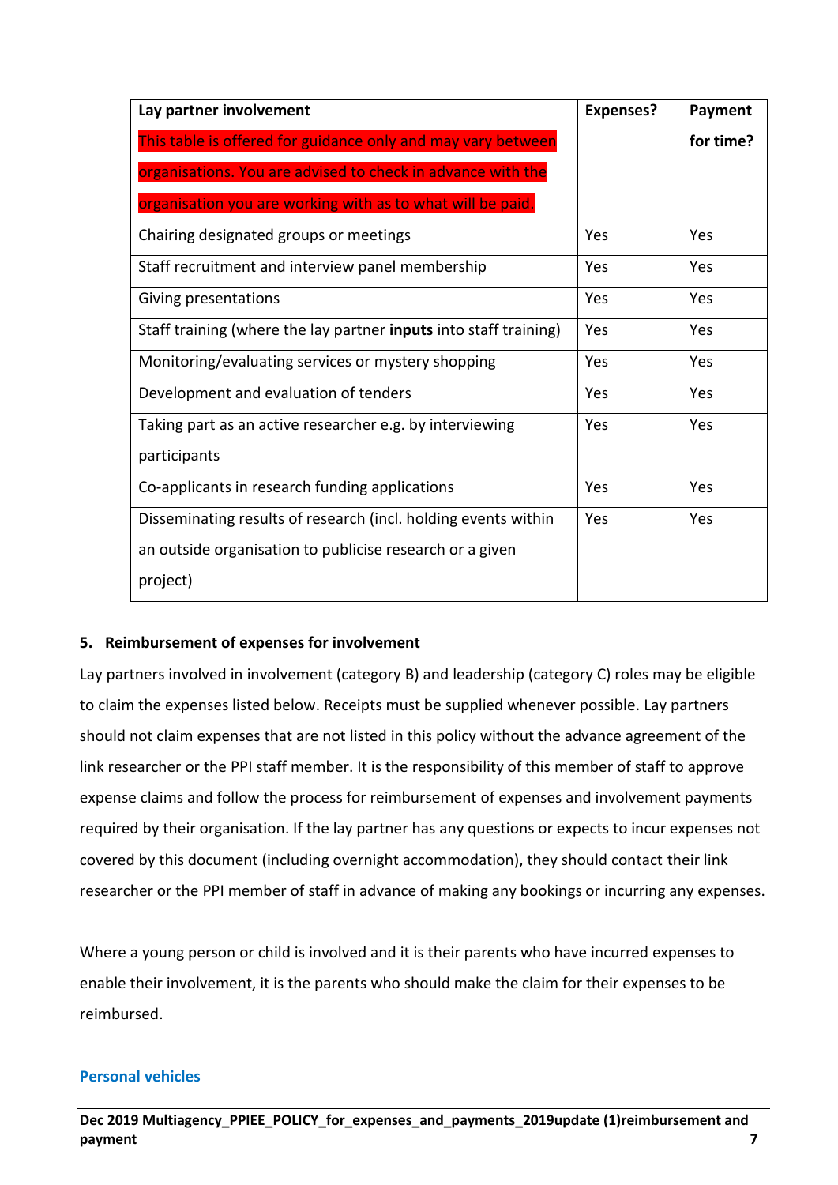| Lay partner involvement                                           | <b>Expenses?</b> | Payment   |
|-------------------------------------------------------------------|------------------|-----------|
| This table is offered for guidance only and may vary between      |                  | for time? |
| organisations. You are advised to check in advance with the       |                  |           |
| organisation you are working with as to what will be paid.        |                  |           |
| Chairing designated groups or meetings                            | Yes              | Yes       |
| Staff recruitment and interview panel membership                  | Yes              | Yes       |
| Giving presentations                                              | Yes              | Yes       |
| Staff training (where the lay partner inputs into staff training) | Yes              | Yes       |
| Monitoring/evaluating services or mystery shopping                | Yes              | Yes       |
| Development and evaluation of tenders                             | Yes              | Yes       |
| Taking part as an active researcher e.g. by interviewing          | Yes              | Yes       |
| participants                                                      |                  |           |
| Co-applicants in research funding applications                    | Yes              | Yes       |
| Disseminating results of research (incl. holding events within    | Yes              | Yes       |
| an outside organisation to publicise research or a given          |                  |           |
| project)                                                          |                  |           |

## **5. Reimbursement of expenses for involvement**

Lay partners involved in involvement (category B) and leadership (category C) roles may be eligible to claim the expenses listed below. Receipts must be supplied whenever possible. Lay partners should not claim expenses that are not listed in this policy without the advance agreement of the link researcher or the PPI staff member. It is the responsibility of this member of staff to approve expense claims and follow the process for reimbursement of expenses and involvement payments required by their organisation. If the lay partner has any questions or expects to incur expenses not covered by this document (including overnight accommodation), they should contact their link researcher or the PPI member of staff in advance of making any bookings or incurring any expenses.

Where a young person or child is involved and it is their parents who have incurred expenses to enable their involvement, it is the parents who should make the claim for their expenses to be reimbursed.

#### **Personal vehicles**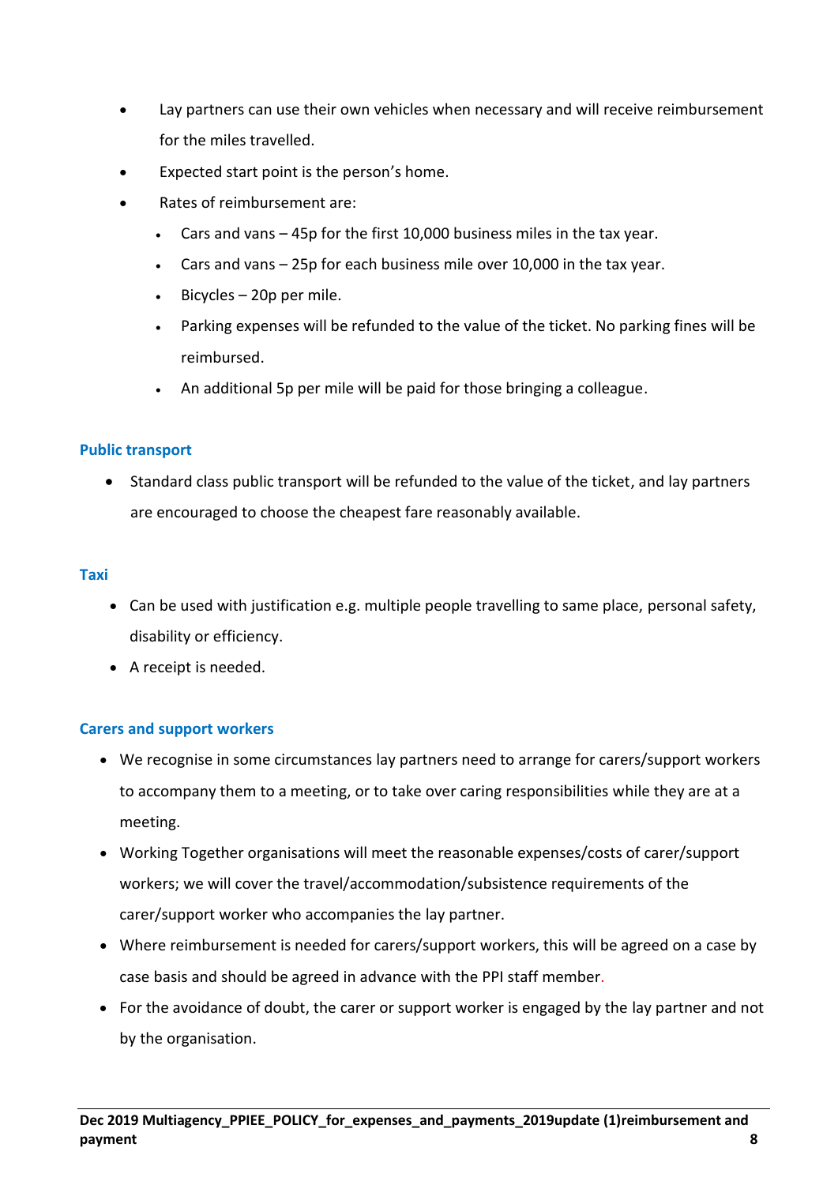- Lay partners can use their own vehicles when necessary and will receive reimbursement for the miles travelled.
- Expected start point is the person's home.
- Rates of reimbursement are:
	- Cars and vans  $-$  45p for the first 10,000 business miles in the tax year.
	- Cars and vans 25p for each business mile over 10,000 in the tax year.
	- Bicycles  $-$  20p per mile.
	- Parking expenses will be refunded to the value of the ticket. No parking fines will be reimbursed.
	- An additional 5p per mile will be paid for those bringing a colleague.

#### **Public transport**

• Standard class public transport will be refunded to the value of the ticket, and lay partners are encouraged to choose the cheapest fare reasonably available.

#### **Taxi**

- Can be used with justification e.g. multiple people travelling to same place, personal safety, disability or efficiency.
- A receipt is needed.

## **Carers and support workers**

- We recognise in some circumstances lay partners need to arrange for carers/support workers to accompany them to a meeting, or to take over caring responsibilities while they are at a meeting.
- Working Together organisations will meet the reasonable expenses/costs of carer/support workers; we will cover the travel/accommodation/subsistence requirements of the carer/support worker who accompanies the lay partner.
- Where reimbursement is needed for carers/support workers, this will be agreed on a case by case basis and should be agreed in advance with the PPI staff member.
- For the avoidance of doubt, the carer or support worker is engaged by the lay partner and not by the organisation.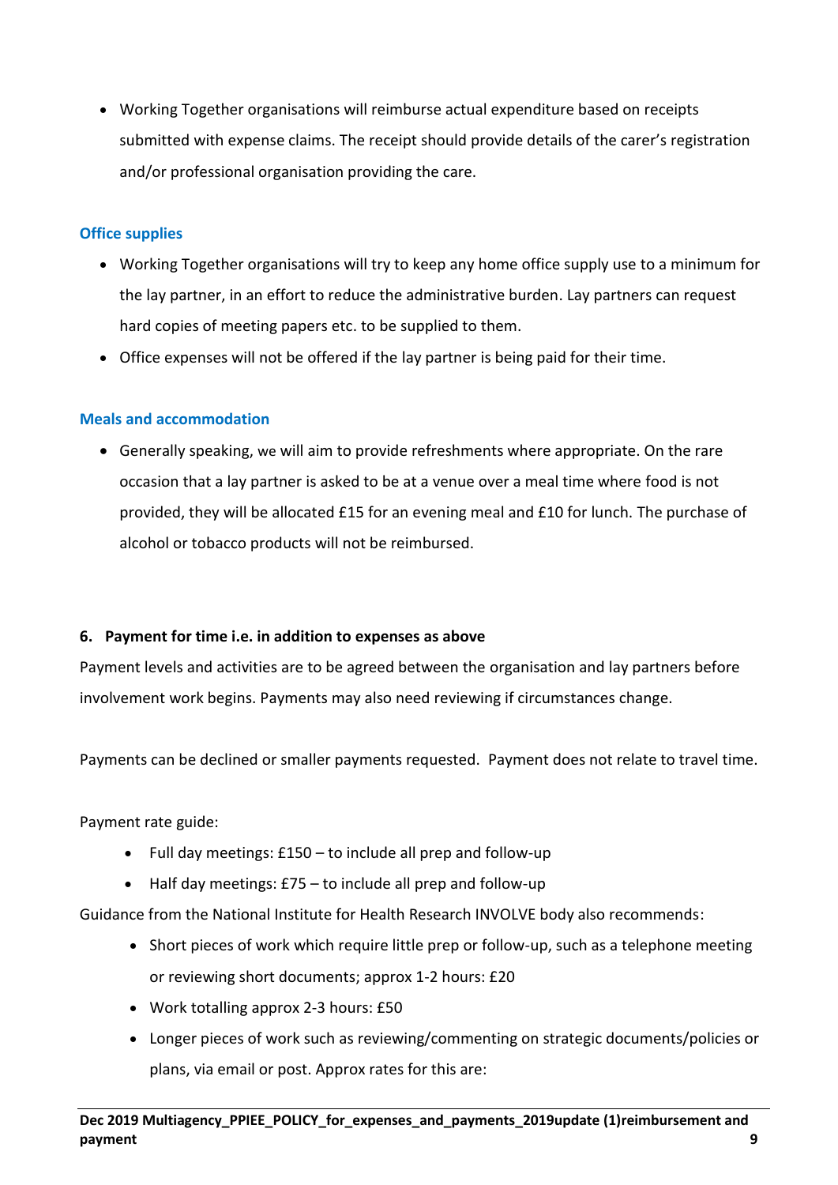• Working Together organisations will reimburse actual expenditure based on receipts submitted with expense claims. The receipt should provide details of the carer's registration and/or professional organisation providing the care.

## **Office supplies**

- Working Together organisations will try to keep any home office supply use to a minimum for the lay partner, in an effort to reduce the administrative burden. Lay partners can request hard copies of meeting papers etc. to be supplied to them.
- Office expenses will not be offered if the lay partner is being paid for their time.

## **Meals and accommodation**

• Generally speaking, we will aim to provide refreshments where appropriate. On the rare occasion that a lay partner is asked to be at a venue over a meal time where food is not provided, they will be allocated £15 for an evening meal and £10 for lunch. The purchase of alcohol or tobacco products will not be reimbursed.

## <span id="page-8-0"></span>**6. Payment for time i.e. in addition to expenses as above**

Payment levels and activities are to be agreed between the organisation and lay partners before involvement work begins. Payments may also need reviewing if circumstances change.

Payments can be declined or smaller payments requested. Payment does not relate to travel time.

Payment rate guide:

- Full day meetings: £150 to include all prep and follow-up
- Half day meetings: £75 to include all prep and follow-up

Guidance from the National Institute for Health Research INVOLVE body also recommends:

- Short pieces of work which require little prep or follow-up, such as a telephone meeting or reviewing short documents; approx 1-2 hours: £20
- Work totalling approx 2-3 hours: £50
- Longer pieces of work such as reviewing/commenting on strategic documents/policies or plans, via email or post. Approx rates for this are: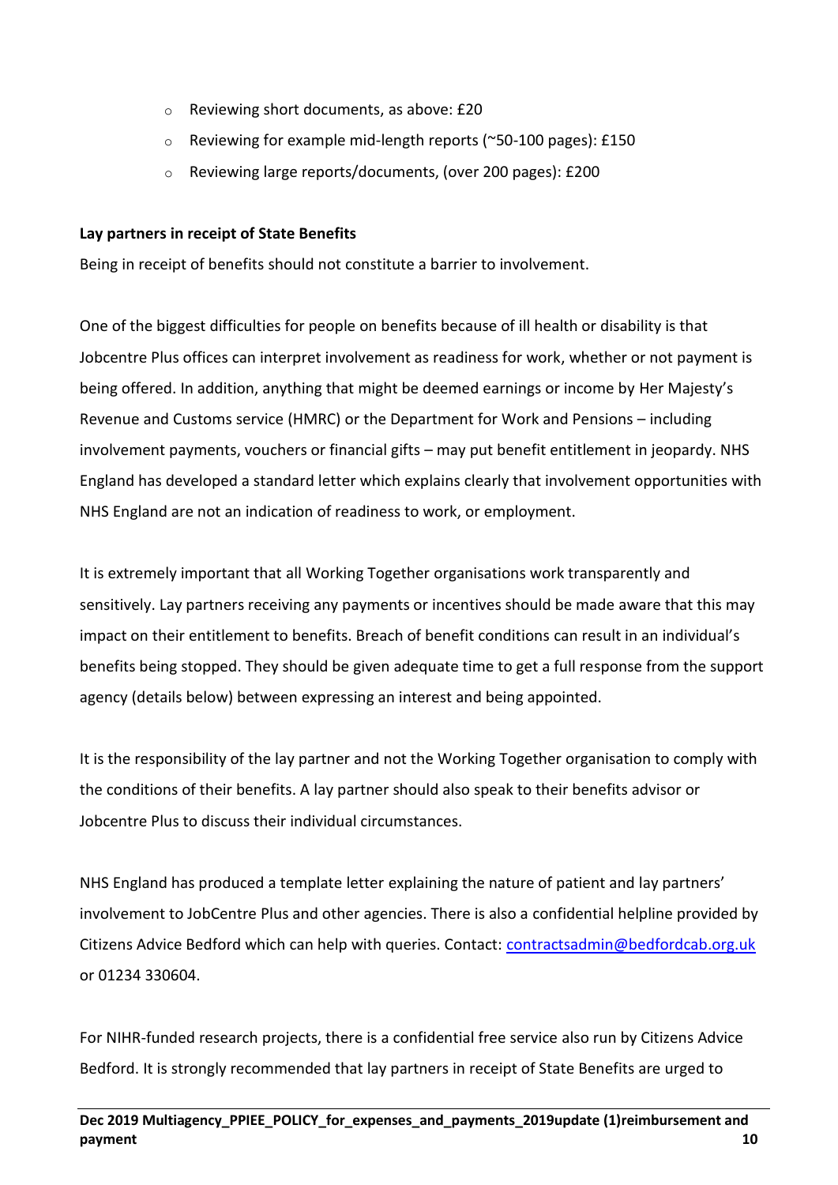- o Reviewing short documents, as above: £20
- o Reviewing for example mid-length reports (~50-100 pages): £150
- o Reviewing large reports/documents, (over 200 pages): £200

## **Lay partners in receipt of State Benefits**

Being in receipt of benefits should not constitute a barrier to involvement.

One of the biggest difficulties for people on benefits because of ill health or disability is that Jobcentre Plus offices can interpret involvement as readiness for work, whether or not payment is being offered. In addition, anything that might be deemed earnings or income by Her Majesty's Revenue and Customs service (HMRC) or the Department for Work and Pensions – including involvement payments, vouchers or financial gifts – may put benefit entitlement in jeopardy. NHS England has developed a standard letter which explains clearly that involvement opportunities with NHS England are not an indication of readiness to work, or employment.

It is extremely important that all Working Together organisations work transparently and sensitively. Lay partners receiving any payments or incentives should be made aware that this may impact on their entitlement to benefits. Breach of benefit conditions can result in an individual's benefits being stopped. They should be given adequate time to get a full response from the support agency (details below) between expressing an interest and being appointed.

It is the responsibility of the lay partner and not the Working Together organisation to comply with the conditions of their benefits. A lay partner should also speak to their benefits advisor or Jobcentre Plus to discuss their individual circumstances.

NHS England has produced a template letter explaining the nature of patient and lay partners' involvement to JobCentre Plus and other agencies. There is also a confidential helpline provided by Citizens Advice Bedford which can help with queries. Contact: [contractsadmin@bedfordcab.org.uk](mailto:contractsadmin@bedfordcab.org.uk) or 01234 330604.

For NIHR-funded research projects, there is a confidential free service also run by Citizens Advice Bedford. It is strongly recommended that lay partners in receipt of State Benefits are urged to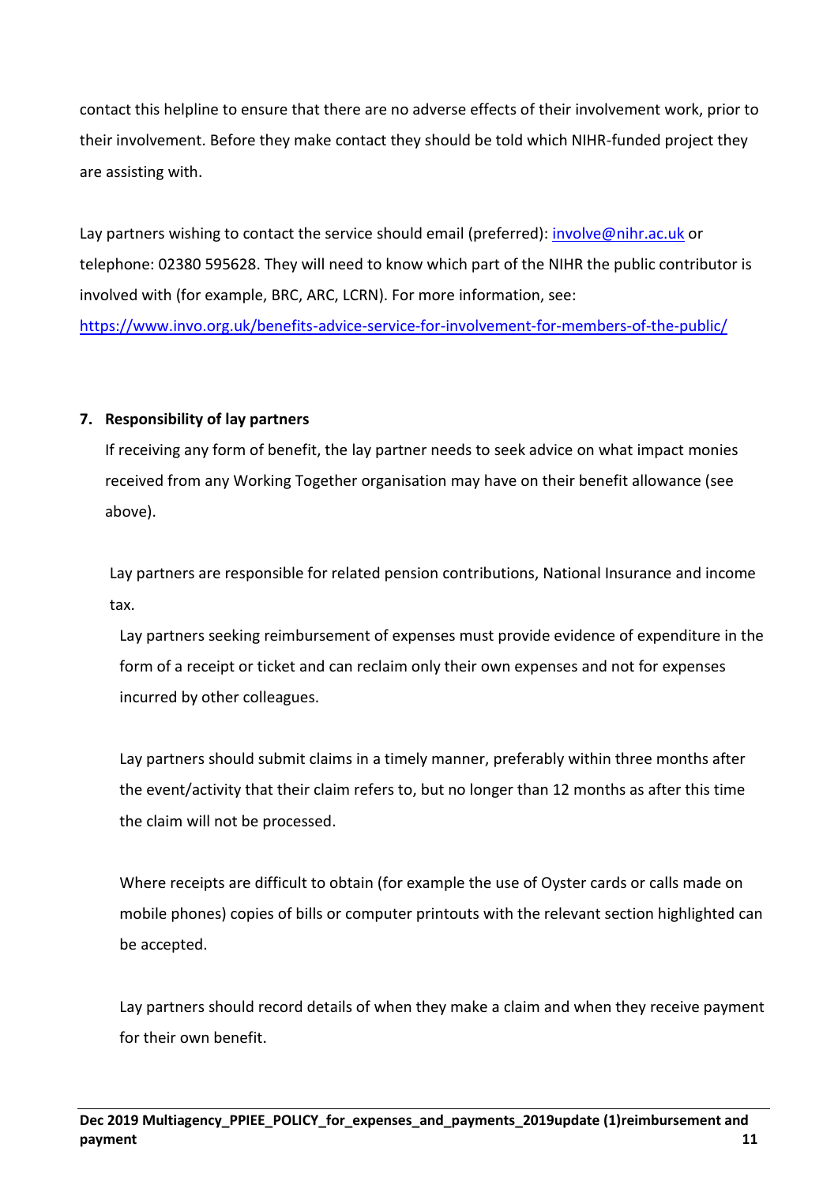contact this helpline to ensure that there are no adverse effects of their involvement work, prior to their involvement. Before they make contact they should be told which NIHR-funded project they are assisting with.

Lay partners wishing to contact the service should email (preferred): [involve@nihr.ac.uk](mailto:involve@nihr.ac.uk) or telephone: 02380 595628. They will need to know which part of the NIHR the public contributor is involved with (for example, BRC, ARC, LCRN). For more information, see: <https://www.invo.org.uk/benefits-advice-service-for-involvement-for-members-of-the-public/>

## <span id="page-10-0"></span>**7. Responsibility of lay partners**

If receiving any form of benefit, the lay partner needs to seek advice on what impact monies received from any Working Together organisation may have on their benefit allowance (see above).

Lay partners are responsible for related pension contributions, National Insurance and income tax.

Lay partners seeking reimbursement of expenses must provide evidence of expenditure in the form of a receipt or ticket and can reclaim only their own expenses and not for expenses incurred by other colleagues.

Lay partners should submit claims in a timely manner, preferably within three months after the event/activity that their claim refers to, but no longer than 12 months as after this time the claim will not be processed.

Where receipts are difficult to obtain (for example the use of Oyster cards or calls made on mobile phones) copies of bills or computer printouts with the relevant section highlighted can be accepted.

Lay partners should record details of when they make a claim and when they receive payment for their own benefit.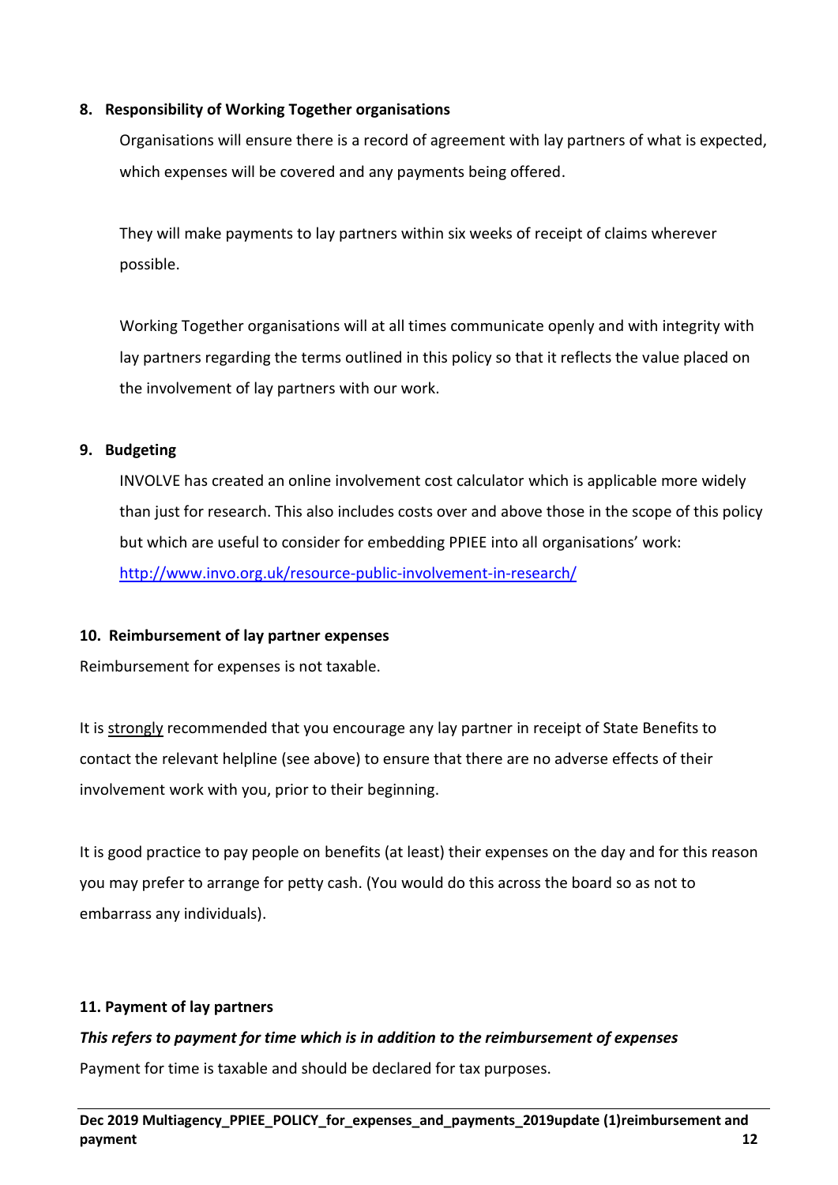## <span id="page-11-0"></span>**8. Responsibility of Working Together organisations**

Organisations will ensure there is a record of agreement with lay partners of what is expected, which expenses will be covered and any payments being offered.

They will make payments to lay partners within six weeks of receipt of claims wherever possible.

Working Together organisations will at all times communicate openly and with integrity with lay partners regarding the terms outlined in this policy so that it reflects the value placed on the involvement of lay partners with our work.

## <span id="page-11-1"></span>**9. Budgeting**

INVOLVE has created an online involvement cost calculator which is applicable more widely than just for research. This also includes costs over and above those in the scope of this policy but which are useful to consider for embedding PPIEE into all organisations' work: <http://www.invo.org.uk/resource-public-involvement-in-research/>

## <span id="page-11-2"></span>**10. Reimbursement of lay partner expenses**

Reimbursement for expenses is not taxable.

It is strongly recommended that you encourage any lay partner in receipt of State Benefits to contact the relevant helpline (see above) to ensure that there are no adverse effects of their involvement work with you, prior to their beginning.

It is good practice to pay people on benefits (at least) their expenses on the day and for this reason you may prefer to arrange for petty cash. (You would do this across the board so as not to embarrass any individuals).

## **11. Payment of lay partners**

## *This refers to payment for time which is in addition to the reimbursement of expenses*

Payment for time is taxable and should be declared for tax purposes.